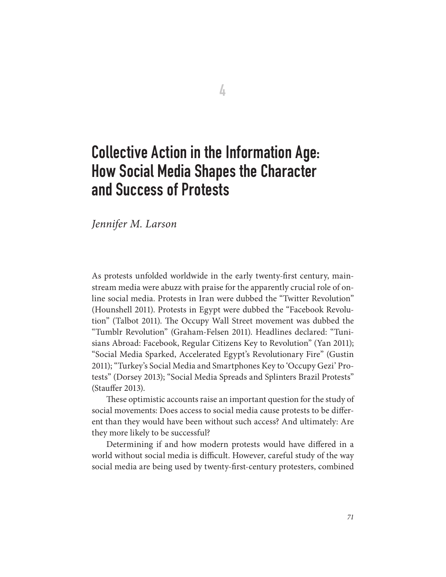# **Collective Action in the Information Age: How Social Media Shapes the Character and Success of Protests**

*Jennifer M. Larson*

As protests unfolded worldwide in the early twenty-first century, mainstream media were abuzz with praise for the apparently crucial role of online social media. Protests in Iran were dubbed the "Twitter Revolution" (Hounshell 2011). Protests in Egypt were dubbed the "Facebook Revolution" (Talbot 2011). The Occupy Wall Street movement was dubbed the "Tumblr Revolution" (Graham-Felsen 2011). Headlines declared: "Tunisians Abroad: Facebook, Regular Citizens Key to Revolution" (Yan 2011); "Social Media Sparked, Accelerated Egypt's Revolutionary Fire" (Gustin 2011); "Turkey's Social Media and Smartphones Key to 'Occupy Gezi' Protests" (Dorsey 2013); "Social Media Spreads and Splinters Brazil Protests" (Stauffer 2013).

These optimistic accounts raise an important question for the study of social movements: Does access to social media cause protests to be different than they would have been without such access? And ultimately: Are they more likely to be successful?

Determining if and how modern protests would have differed in a world without social media is difficult. However, careful study of the way social media are being used by twenty-first-century protesters, combined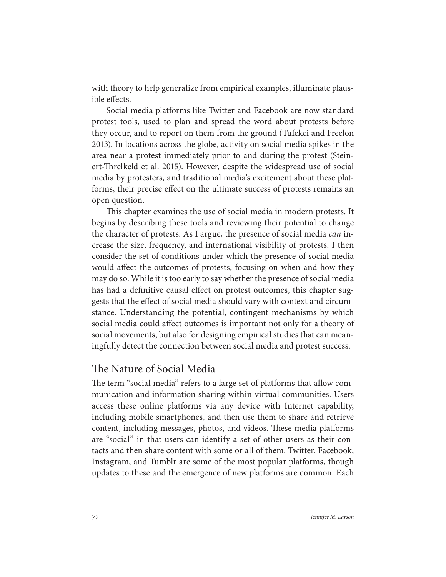with theory to help generalize from empirical examples, illuminate plausible effects.

Social media platforms like Twitter and Facebook are now standard protest tools, used to plan and spread the word about protests before they occur, and to report on them from the ground (Tufekci and Freelon 2013). In locations across the globe, activity on social media spikes in the area near a protest immediately prior to and during the protest (Steinert-Threlkeld et al. 2015). However, despite the widespread use of social media by protesters, and traditional media's excitement about these platforms, their precise effect on the ultimate success of protests remains an open question.

This chapter examines the use of social media in modern protests. It begins by describing these tools and reviewing their potential to change the character of protests. As I argue, the presence of social media *can* increase the size, frequency, and international visibility of protests. I then consider the set of conditions under which the presence of social media would affect the outcomes of protests, focusing on when and how they may do so. While it is too early to say whether the presence of social media has had a definitive causal effect on protest outcomes, this chapter suggests that the effect of social media should vary with context and circumstance. Understanding the potential, contingent mechanisms by which social media could affect outcomes is important not only for a theory of social movements, but also for designing empirical studies that can meaningfully detect the connection between social media and protest success.

## The Nature of Social Media

The term "social media" refers to a large set of platforms that allow communication and information sharing within virtual communities. Users access these online platforms via any device with Internet capability, including mobile smartphones, and then use them to share and retrieve content, including messages, photos, and videos. These media platforms are "social" in that users can identify a set of other users as their contacts and then share content with some or all of them. Twitter, Facebook, Instagram, and Tumblr are some of the most popular platforms, though updates to these and the emergence of new platforms are common. Each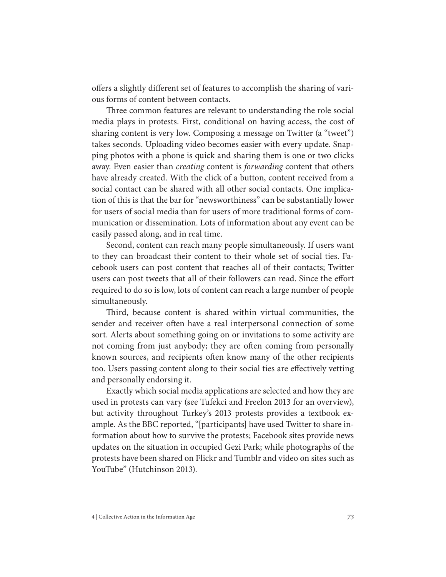offers a slightly different set of features to accomplish the sharing of various forms of content between contacts.

Three common features are relevant to understanding the role social media plays in protests. First, conditional on having access, the cost of sharing content is very low. Composing a message on Twitter (a "tweet") takes seconds. Uploading video becomes easier with every update. Snapping photos with a phone is quick and sharing them is one or two clicks away. Even easier than *creating* content is *forwarding* content that others have already created. With the click of a button, content received from a social contact can be shared with all other social contacts. One implication of this is that the bar for "newsworthiness" can be substantially lower for users of social media than for users of more traditional forms of communication or dissemination. Lots of information about any event can be easily passed along, and in real time.

Second, content can reach many people simultaneously. If users want to they can broadcast their content to their whole set of social ties. Facebook users can post content that reaches all of their contacts; Twitter users can post tweets that all of their followers can read. Since the effort required to do so is low, lots of content can reach a large number of people simultaneously.

Third, because content is shared within virtual communities, the sender and receiver often have a real interpersonal connection of some sort. Alerts about something going on or invitations to some activity are not coming from just anybody; they are often coming from personally known sources, and recipients often know many of the other recipients too. Users passing content along to their social ties are effectively vetting and personally endorsing it.

Exactly which social media applications are selected and how they are used in protests can vary (see Tufekci and Freelon 2013 for an overview), but activity throughout Turkey's 2013 protests provides a textbook example. As the BBC reported, "[participants] have used Twitter to share information about how to survive the protests; Facebook sites provide news updates on the situation in occupied Gezi Park; while photographs of the protests have been shared on Flickr and Tumblr and video on sites such as YouTube" (Hutchinson 2013).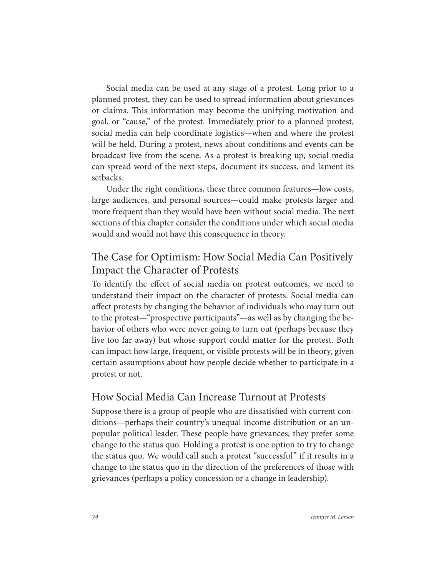Social media can be used at any stage of a protest. Long prior to a planned protest, they can be used to spread information about grievances or claims. This information may become the unifying motivation and goal, or "cause," of the protest. Immediately prior to a planned protest, social media can help coordinate logistics—when and where the protest will be held. During a protest, news about conditions and events can be broadcast live from the scene. As a protest is breaking up, social media can spread word of the next steps, document its success, and lament its setbacks.

Under the right conditions, these three common features—low costs, large audiences, and personal sources—could make protests larger and more frequent than they would have been without social media. The next sections of this chapter consider the conditions under which social media would and would not have this consequence in theory.

# The Case for Optimism: How Social Media Can Positively Impact the Character of Protests

To identify the effect of social media on protest outcomes, we need to understand their impact on the character of protests. Social media can affect protests by changing the behavior of individuals who may turn out to the protest—"prospective participants"—as well as by changing the behavior of others who were never going to turn out (perhaps because they live too far away) but whose support could matter for the protest. Both can impact how large, frequent, or visible protests will be in theory, given certain assumptions about how people decide whether to participate in a protest or not.

### How Social Media Can Increase Turnout at Protests

Suppose there is a group of people who are dissatisfied with current conditions—perhaps their country's unequal income distribution or an unpopular political leader. These people have grievances; they prefer some change to the status quo. Holding a protest is one option to try to change the status quo. We would call such a protest "successful" if it results in a change to the status quo in the direction of the preferences of those with grievances (perhaps a policy concession or a change in leadership).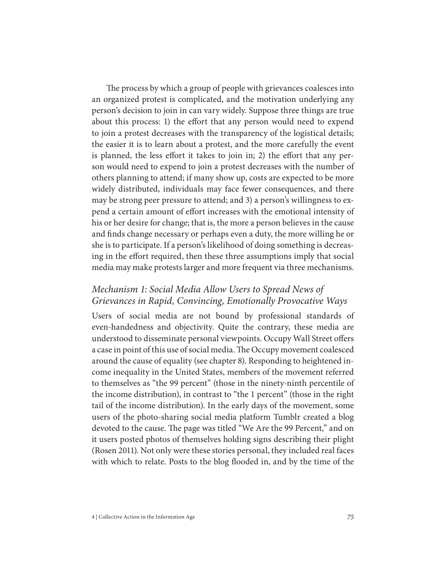The process by which a group of people with grievances coalesces into an organized protest is complicated, and the motivation underlying any person's decision to join in can vary widely. Suppose three things are true about this process: 1) the effort that any person would need to expend to join a protest decreases with the transparency of the logistical details; the easier it is to learn about a protest, and the more carefully the event is planned, the less effort it takes to join in; 2) the effort that any person would need to expend to join a protest decreases with the number of others planning to attend; if many show up, costs are expected to be more widely distributed, individuals may face fewer consequences, and there may be strong peer pressure to attend; and 3) a person's willingness to expend a certain amount of effort increases with the emotional intensity of his or her desire for change; that is, the more a person believes in the cause and finds change necessary or perhaps even a duty, the more willing he or she is to participate. If a person's likelihood of doing something is decreasing in the effort required, then these three assumptions imply that social media may make protests larger and more frequent via three mechanisms.

### *Mechanism 1: Social Media Allow Users to Spread News of Grievances in Rapid, Convincing, Emotionally Provocative Ways*

Users of social media are not bound by professional standards of even-handedness and objectivity. Quite the contrary, these media are understood to disseminate personal viewpoints. Occupy Wall Street offers a case in point of this use of social media. The Occupy movement coalesced around the cause of equality (see chapter 8). Responding to heightened income inequality in the United States, members of the movement referred to themselves as "the 99 percent" (those in the ninety-ninth percentile of the income distribution), in contrast to "the 1 percent" (those in the right tail of the income distribution). In the early days of the movement, some users of the photo-sharing social media platform Tumblr created a blog devoted to the cause. The page was titled "We Are the 99 Percent," and on it users posted photos of themselves holding signs describing their plight (Rosen 2011). Not only were these stories personal, they included real faces with which to relate. Posts to the blog flooded in, and by the time of the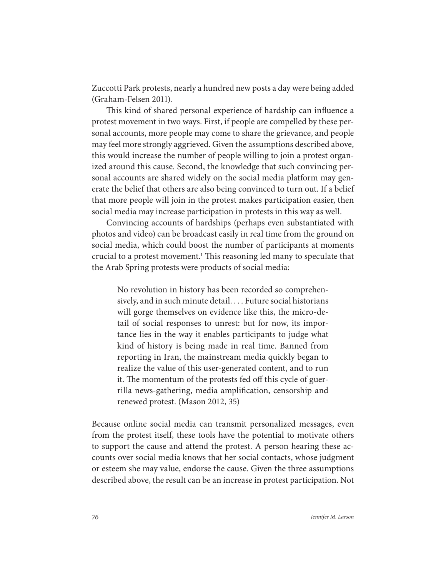Zuccotti Park protests, nearly a hundred new posts a day were being added (Graham-Felsen 2011)*.* 

This kind of shared personal experience of hardship can influence a protest movement in two ways. First, if people are compelled by these personal accounts, more people may come to share the grievance, and people may feel more strongly aggrieved. Given the assumptions described above, this would increase the number of people willing to join a protest organized around this cause. Second, the knowledge that such convincing personal accounts are shared widely on the social media platform may generate the belief that others are also being convinced to turn out. If a belief that more people will join in the protest makes participation easier, then social media may increase participation in protests in this way as well.

Convincing accounts of hardships (perhaps even substantiated with photos and video) can be broadcast easily in real time from the ground on social media, which could boost the number of participants at moments crucial to a protest movement.<sup>1</sup> This reasoning led many to speculate that the Arab Spring protests were products of social media:

No revolution in history has been recorded so comprehensively, and in such minute detail. . . . Future social historians will gorge themselves on evidence like this, the micro-detail of social responses to unrest: but for now, its importance lies in the way it enables participants to judge what kind of history is being made in real time. Banned from reporting in Iran, the mainstream media quickly began to realize the value of this user-generated content, and to run it. The momentum of the protests fed off this cycle of guerrilla news-gathering, media amplification, censorship and renewed protest. (Mason 2012, 35)

Because online social media can transmit personalized messages, even from the protest itself, these tools have the potential to motivate others to support the cause and attend the protest. A person hearing these accounts over social media knows that her social contacts, whose judgment or esteem she may value, endorse the cause. Given the three assumptions described above, the result can be an increase in protest participation. Not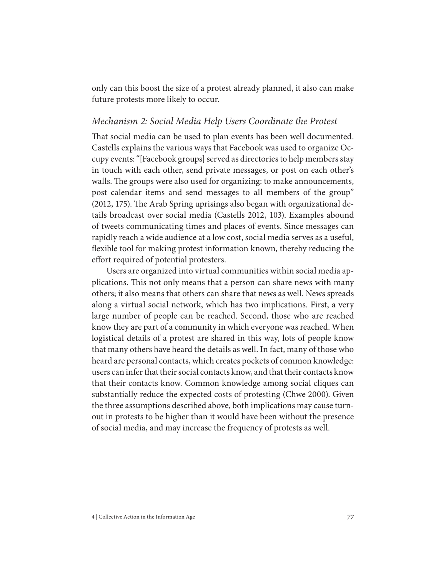only can this boost the size of a protest already planned, it also can make future protests more likely to occur.

#### *Mechanism 2: Social Media Help Users Coordinate the Protest*

That social media can be used to plan events has been well documented. Castells explains the various ways that Facebook was used to organize Occupy events: "[Facebook groups] served as directories to help members stay in touch with each other, send private messages, or post on each other's walls. The groups were also used for organizing: to make announcements, post calendar items and send messages to all members of the group" (2012, 175). The Arab Spring uprisings also began with organizational details broadcast over social media (Castells 2012, 103). Examples abound of tweets communicating times and places of events. Since messages can rapidly reach a wide audience at a low cost, social media serves as a useful, flexible tool for making protest information known, thereby reducing the effort required of potential protesters.

Users are organized into virtual communities within social media applications. This not only means that a person can share news with many others; it also means that others can share that news as well. News spreads along a virtual social network, which has two implications. First, a very large number of people can be reached. Second, those who are reached know they are part of a community in which everyone was reached. When logistical details of a protest are shared in this way, lots of people know that many others have heard the details as well. In fact, many of those who heard are personal contacts, which creates pockets of common knowledge: users can infer that their social contacts know, and that their contacts know that their contacts know. Common knowledge among social cliques can substantially reduce the expected costs of protesting (Chwe 2000). Given the three assumptions described above, both implications may cause turnout in protests to be higher than it would have been without the presence of social media, and may increase the frequency of protests as well.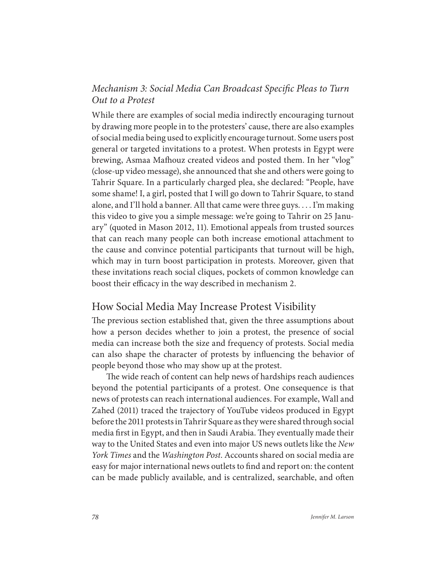### *Mechanism 3: Social Media Can Broadcast Specific Pleas to Turn Out to a Protest*

While there are examples of social media indirectly encouraging turnout by drawing more people in to the protesters' cause, there are also examples of social media being used to explicitly encourage turnout. Some users post general or targeted invitations to a protest. When protests in Egypt were brewing, Asmaa Mafhouz created videos and posted them. In her "vlog" (close-up video message), she announced that she and others were going to Tahrir Square. In a particularly charged plea, she declared: "People, have some shame! I, a girl, posted that I will go down to Tahrir Square, to stand alone, and I'll hold a banner. All that came were three guys. . . . I'm making this video to give you a simple message: we're going to Tahrir on 25 January" (quoted in Mason 2012, 11). Emotional appeals from trusted sources that can reach many people can both increase emotional attachment to the cause and convince potential participants that turnout will be high, which may in turn boost participation in protests. Moreover, given that these invitations reach social cliques, pockets of common knowledge can boost their efficacy in the way described in mechanism 2.

# How Social Media May Increase Protest Visibility

The previous section established that, given the three assumptions about how a person decides whether to join a protest, the presence of social media can increase both the size and frequency of protests. Social media can also shape the character of protests by influencing the behavior of people beyond those who may show up at the protest.

The wide reach of content can help news of hardships reach audiences beyond the potential participants of a protest. One consequence is that news of protests can reach international audiences. For example, Wall and Zahed (2011) traced the trajectory of YouTube videos produced in Egypt before the 2011 protests in Tahrir Square as they were shared through social media first in Egypt, and then in Saudi Arabia. They eventually made their way to the United States and even into major US news outlets like the *New York Times* and the *Washington Post*. Accounts shared on social media are easy for major international news outlets to find and report on: the content can be made publicly available, and is centralized, searchable, and often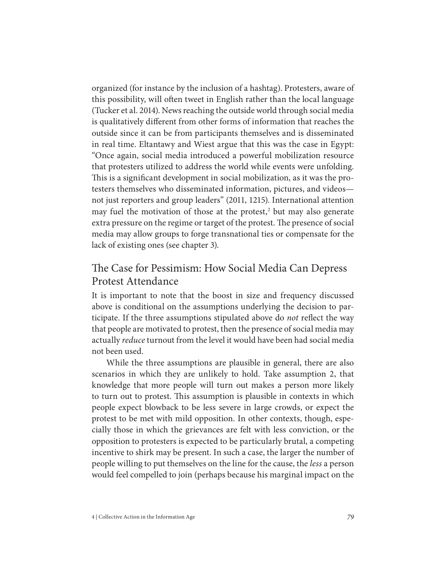organized (for instance by the inclusion of a hashtag). Protesters, aware of this possibility, will often tweet in English rather than the local language (Tucker et al. 2014). News reaching the outside world through social media is qualitatively different from other forms of information that reaches the outside since it can be from participants themselves and is disseminated in real time. Eltantawy and Wiest argue that this was the case in Egypt: "Once again, social media introduced a powerful mobilization resource that protesters utilized to address the world while events were unfolding. This is a significant development in social mobilization, as it was the protesters themselves who disseminated information, pictures, and videos not just reporters and group leaders" (2011, 1215). International attention may fuel the motivation of those at the protest,<sup>2</sup> but may also generate extra pressure on the regime or target of the protest. The presence of social media may allow groups to forge transnational ties or compensate for the lack of existing ones (see chapter 3).

# The Case for Pessimism: How Social Media Can Depress Protest Attendance

It is important to note that the boost in size and frequency discussed above is conditional on the assumptions underlying the decision to participate. If the three assumptions stipulated above do *not* reflect the way that people are motivated to protest, then the presence of social media may actually *reduce* turnout from the level it would have been had social media not been used.

While the three assumptions are plausible in general, there are also scenarios in which they are unlikely to hold. Take assumption 2, that knowledge that more people will turn out makes a person more likely to turn out to protest. This assumption is plausible in contexts in which people expect blowback to be less severe in large crowds, or expect the protest to be met with mild opposition. In other contexts, though, especially those in which the grievances are felt with less conviction, or the opposition to protesters is expected to be particularly brutal, a competing incentive to shirk may be present. In such a case, the larger the number of people willing to put themselves on the line for the cause, the *less* a person would feel compelled to join (perhaps because his marginal impact on the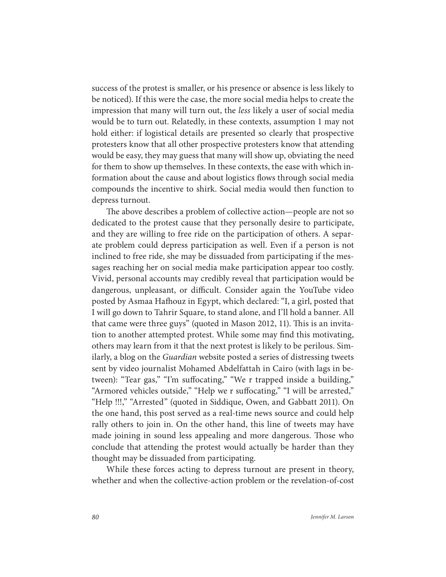success of the protest is smaller, or his presence or absence is less likely to be noticed). If this were the case, the more social media helps to create the impression that many will turn out, the *less* likely a user of social media would be to turn out. Relatedly, in these contexts, assumption 1 may not hold either: if logistical details are presented so clearly that prospective protesters know that all other prospective protesters know that attending would be easy, they may guess that many will show up, obviating the need for them to show up themselves. In these contexts, the ease with which information about the cause and about logistics flows through social media compounds the incentive to shirk. Social media would then function to depress turnout.

The above describes a problem of collective action—people are not so dedicated to the protest cause that they personally desire to participate, and they are willing to free ride on the participation of others. A separate problem could depress participation as well. Even if a person is not inclined to free ride, she may be dissuaded from participating if the messages reaching her on social media make participation appear too costly. Vivid, personal accounts may credibly reveal that participation would be dangerous, unpleasant, or difficult. Consider again the YouTube video posted by Asmaa Hafhouz in Egypt, which declared: "I, a girl, posted that I will go down to Tahrir Square, to stand alone, and I'll hold a banner. All that came were three guys" (quoted in Mason 2012, 11). This is an invitation to another attempted protest. While some may find this motivating, others may learn from it that the next protest is likely to be perilous. Similarly, a blog on the *Guardian* website posted a series of distressing tweets sent by video journalist Mohamed Abdelfattah in Cairo (with lags in between): "Tear gas," "I'm suffocating," "We r trapped inside a building," "Armored vehicles outside," "Help we r suffocating," "I will be arrested," "Help !!!," "Arrested" (quoted in Siddique, Owen, and Gabbatt 2011). On the one hand, this post served as a real-time news source and could help rally others to join in. On the other hand, this line of tweets may have made joining in sound less appealing and more dangerous. Those who conclude that attending the protest would actually be harder than they thought may be dissuaded from participating.

While these forces acting to depress turnout are present in theory, whether and when the collective-action problem or the revelation-of-cost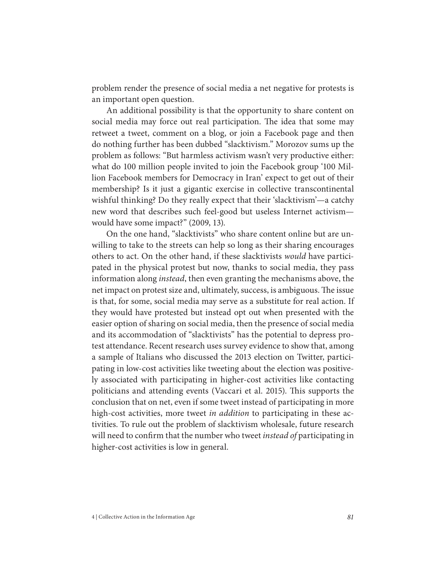problem render the presence of social media a net negative for protests is an important open question.

An additional possibility is that the opportunity to share content on social media may force out real participation. The idea that some may retweet a tweet, comment on a blog, or join a Facebook page and then do nothing further has been dubbed "slacktivism." Morozov sums up the problem as follows: "But harmless activism wasn't very productive either: what do 100 million people invited to join the Facebook group '100 Million Facebook members for Democracy in Iran' expect to get out of their membership? Is it just a gigantic exercise in collective transcontinental wishful thinking? Do they really expect that their 'slacktivism'—a catchy new word that describes such feel-good but useless Internet activism would have some impact?" (2009, 13).

On the one hand, "slacktivists" who share content online but are unwilling to take to the streets can help so long as their sharing encourages others to act. On the other hand, if these slacktivists *would* have participated in the physical protest but now, thanks to social media, they pass information along *instead*, then even granting the mechanisms above, the net impact on protest size and, ultimately, success, is ambiguous. The issue is that, for some, social media may serve as a substitute for real action. If they would have protested but instead opt out when presented with the easier option of sharing on social media, then the presence of social media and its accommodation of "slacktivists" has the potential to depress protest attendance. Recent research uses survey evidence to show that, among a sample of Italians who discussed the 2013 election on Twitter, participating in low-cost activities like tweeting about the election was positively associated with participating in higher-cost activities like contacting politicians and attending events (Vaccari et al. 2015). This supports the conclusion that on net, even if some tweet instead of participating in more high-cost activities, more tweet *in addition* to participating in these activities. To rule out the problem of slacktivism wholesale, future research will need to confirm that the number who tweet *instead of* participating in higher-cost activities is low in general.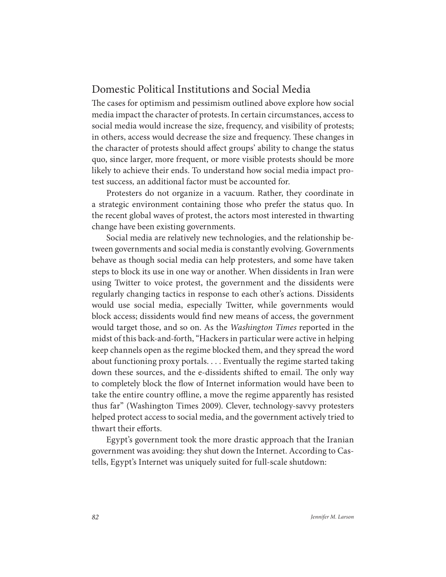# Domestic Political Institutions and Social Media

The cases for optimism and pessimism outlined above explore how social media impact the character of protests. In certain circumstances, access to social media would increase the size, frequency, and visibility of protests; in others, access would decrease the size and frequency. These changes in the character of protests should affect groups' ability to change the status quo, since larger, more frequent, or more visible protests should be more likely to achieve their ends. To understand how social media impact protest success*,* an additional factor must be accounted for.

Protesters do not organize in a vacuum. Rather, they coordinate in a strategic environment containing those who prefer the status quo. In the recent global waves of protest, the actors most interested in thwarting change have been existing governments.

Social media are relatively new technologies, and the relationship between governments and social media is constantly evolving. Governments behave as though social media can help protesters, and some have taken steps to block its use in one way or another. When dissidents in Iran were using Twitter to voice protest, the government and the dissidents were regularly changing tactics in response to each other's actions. Dissidents would use social media, especially Twitter, while governments would block access; dissidents would find new means of access, the government would target those, and so on. As the *Washington Times* reported in the midst of this back-and-forth, "Hackers in particular were active in helping keep channels open as the regime blocked them, and they spread the word about functioning proxy portals. . . . Eventually the regime started taking down these sources, and the e-dissidents shifted to email. The only way to completely block the flow of Internet information would have been to take the entire country offline, a move the regime apparently has resisted thus far" (Washington Times 2009). Clever, technology-savvy protesters helped protect access to social media, and the government actively tried to thwart their efforts.

Egypt's government took the more drastic approach that the Iranian government was avoiding: they shut down the Internet. According to Castells, Egypt's Internet was uniquely suited for full-scale shutdown: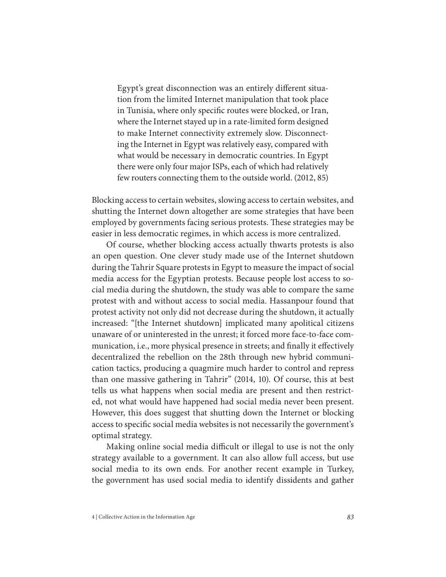Egypt's great disconnection was an entirely different situation from the limited Internet manipulation that took place in Tunisia, where only specific routes were blocked, or Iran, where the Internet stayed up in a rate-limited form designed to make Internet connectivity extremely slow. Disconnecting the Internet in Egypt was relatively easy, compared with what would be necessary in democratic countries. In Egypt there were only four major ISPs, each of which had relatively few routers connecting them to the outside world. (2012, 85)

Blocking access to certain websites, slowing access to certain websites, and shutting the Internet down altogether are some strategies that have been employed by governments facing serious protests. These strategies may be easier in less democratic regimes, in which access is more centralized.

Of course, whether blocking access actually thwarts protests is also an open question. One clever study made use of the Internet shutdown during the Tahrir Square protests in Egypt to measure the impact of social media access for the Egyptian protests. Because people lost access to social media during the shutdown, the study was able to compare the same protest with and without access to social media. Hassanpour found that protest activity not only did not decrease during the shutdown, it actually increased: "[the Internet shutdown] implicated many apolitical citizens unaware of or uninterested in the unrest; it forced more face-to-face communication, i.e., more physical presence in streets; and finally it effectively decentralized the rebellion on the 28th through new hybrid communication tactics, producing a quagmire much harder to control and repress than one massive gathering in Tahrir" (2014, 10)*.* Of course, this at best tells us what happens when social media are present and then restricted, not what would have happened had social media never been present. However, this does suggest that shutting down the Internet or blocking access to specific social media websites is not necessarily the government's optimal strategy.

Making online social media difficult or illegal to use is not the only strategy available to a government. It can also allow full access, but use social media to its own ends. For another recent example in Turkey, the government has used social media to identify dissidents and gather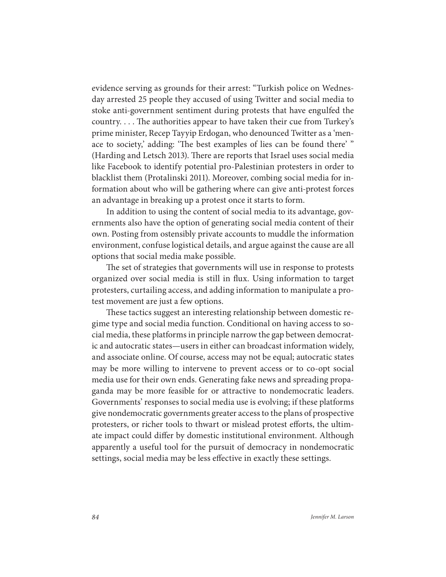evidence serving as grounds for their arrest: "Turkish police on Wednesday arrested 25 people they accused of using Twitter and social media to stoke anti-government sentiment during protests that have engulfed the country.  $\ldots$  The authorities appear to have taken their cue from Turkey's prime minister, Recep Tayyip Erdogan, who denounced Twitter as a 'menace to society,' adding: 'The best examples of lies can be found there' " (Harding and Letsch 2013). There are reports that Israel uses social media like Facebook to identify potential pro-Palestinian protesters in order to blacklist them (Protalinski 2011). Moreover, combing social media for information about who will be gathering where can give anti-protest forces an advantage in breaking up a protest once it starts to form.

In addition to using the content of social media to its advantage, governments also have the option of generating social media content of their own. Posting from ostensibly private accounts to muddle the information environment, confuse logistical details, and argue against the cause are all options that social media make possible.

The set of strategies that governments will use in response to protests organized over social media is still in flux. Using information to target protesters, curtailing access, and adding information to manipulate a protest movement are just a few options.

These tactics suggest an interesting relationship between domestic regime type and social media function. Conditional on having access to social media, these platforms in principle narrow the gap between democratic and autocratic states—users in either can broadcast information widely, and associate online. Of course, access may not be equal; autocratic states may be more willing to intervene to prevent access or to co-opt social media use for their own ends. Generating fake news and spreading propaganda may be more feasible for or attractive to nondemocratic leaders. Governments' responses to social media use is evolving; if these platforms give nondemocratic governments greater access to the plans of prospective protesters, or richer tools to thwart or mislead protest efforts, the ultimate impact could differ by domestic institutional environment. Although apparently a useful tool for the pursuit of democracy in nondemocratic settings, social media may be less effective in exactly these settings.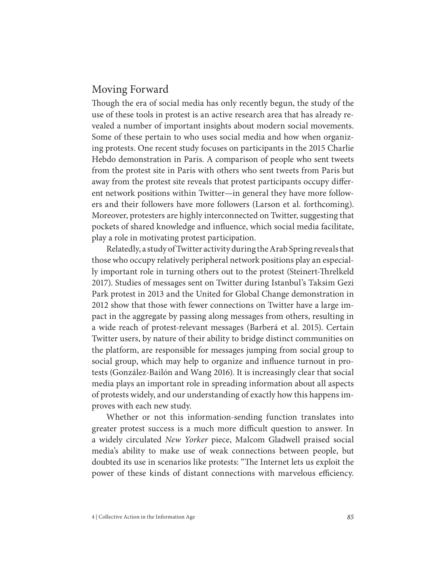# Moving Forward

Though the era of social media has only recently begun, the study of the use of these tools in protest is an active research area that has already revealed a number of important insights about modern social movements. Some of these pertain to who uses social media and how when organizing protests. One recent study focuses on participants in the 2015 Charlie Hebdo demonstration in Paris. A comparison of people who sent tweets from the protest site in Paris with others who sent tweets from Paris but away from the protest site reveals that protest participants occupy different network positions within Twitter—in general they have more followers and their followers have more followers (Larson et al. forthcoming). Moreover, protesters are highly interconnected on Twitter, suggesting that pockets of shared knowledge and influence, which social media facilitate, play a role in motivating protest participation.

Relatedly, a study of Twitter activity during the Arab Spring reveals that those who occupy relatively peripheral network positions play an especially important role in turning others out to the protest (Steinert-Threlkeld 2017). Studies of messages sent on Twitter during Istanbul's Taksim Gezi Park protest in 2013 and the United for Global Change demonstration in 2012 show that those with fewer connections on Twitter have a large impact in the aggregate by passing along messages from others, resulting in a wide reach of protest-relevant messages (Barberá et al. 2015). Certain Twitter users, by nature of their ability to bridge distinct communities on the platform, are responsible for messages jumping from social group to social group, which may help to organize and influence turnout in protests (González-Bailón and Wang 2016). It is increasingly clear that social media plays an important role in spreading information about all aspects of protests widely, and our understanding of exactly how this happens improves with each new study.

Whether or not this information-sending function translates into greater protest success is a much more difficult question to answer. In a widely circulated *New Yorker* piece, Malcom Gladwell praised social media's ability to make use of weak connections between people, but doubted its use in scenarios like protests: "The Internet lets us exploit the power of these kinds of distant connections with marvelous efficiency.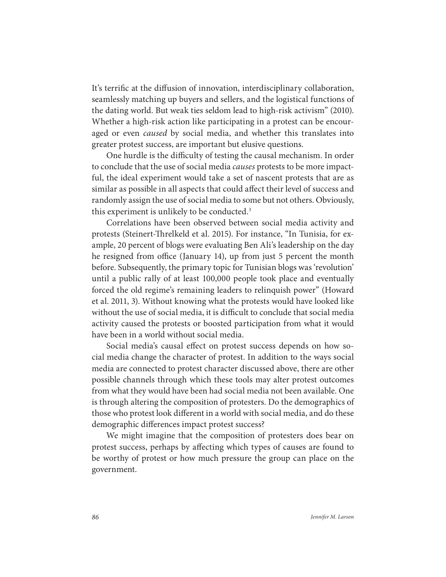It's terrific at the diffusion of innovation, interdisciplinary collaboration, seamlessly matching up buyers and sellers, and the logistical functions of the dating world. But weak ties seldom lead to high-risk activism" (2010). Whether a high-risk action like participating in a protest can be encouraged or even *caused* by social media, and whether this translates into greater protest success, are important but elusive questions.

One hurdle is the difficulty of testing the causal mechanism. In order to conclude that the use of social media *causes* protests to be more impactful, the ideal experiment would take a set of nascent protests that are as similar as possible in all aspects that could affect their level of success and randomly assign the use of social media to some but not others. Obviously, this experiment is unlikely to be conducted.3

Correlations have been observed between social media activity and protests (Steinert-Threlkeld et al. 2015). For instance, "In Tunisia, for example, 20 percent of blogs were evaluating Ben Ali's leadership on the day he resigned from office (January 14), up from just 5 percent the month before. Subsequently, the primary topic for Tunisian blogs was 'revolution' until a public rally of at least 100,000 people took place and eventually forced the old regime's remaining leaders to relinquish power" (Howard et al. 2011, 3). Without knowing what the protests would have looked like without the use of social media, it is difficult to conclude that social media activity caused the protests or boosted participation from what it would have been in a world without social media.

Social media's causal effect on protest success depends on how social media change the character of protest. In addition to the ways social media are connected to protest character discussed above, there are other possible channels through which these tools may alter protest outcomes from what they would have been had social media not been available. One is through altering the composition of protesters. Do the demographics of those who protest look different in a world with social media, and do these demographic differences impact protest success?

We might imagine that the composition of protesters does bear on protest success, perhaps by affecting which types of causes are found to be worthy of protest or how much pressure the group can place on the government.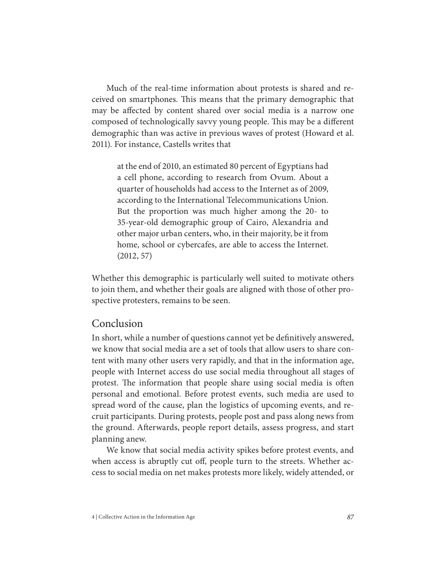Much of the real-time information about protests is shared and received on smartphones. This means that the primary demographic that may be affected by content shared over social media is a narrow one composed of technologically savvy young people. This may be a different demographic than was active in previous waves of protest (Howard et al. 2011)*.* For instance, Castells writes that

at the end of 2010, an estimated 80 percent of Egyptians had a cell phone, according to research from Ovum. About a quarter of households had access to the Internet as of 2009, according to the International Telecommunications Union. But the proportion was much higher among the 20- to 35-year-old demographic group of Cairo, Alexandria and other major urban centers, who, in their majority, be it from home, school or cybercafes, are able to access the Internet. (2012, 57)

Whether this demographic is particularly well suited to motivate others to join them, and whether their goals are aligned with those of other prospective protesters, remains to be seen.

### Conclusion

In short, while a number of questions cannot yet be definitively answered, we know that social media are a set of tools that allow users to share content with many other users very rapidly, and that in the information age, people with Internet access do use social media throughout all stages of protest. The information that people share using social media is often personal and emotional. Before protest events, such media are used to spread word of the cause, plan the logistics of upcoming events, and recruit participants. During protests, people post and pass along news from the ground. Afterwards, people report details, assess progress, and start planning anew.

We know that social media activity spikes before protest events, and when access is abruptly cut off, people turn to the streets. Whether access to social media on net makes protests more likely, widely attended, or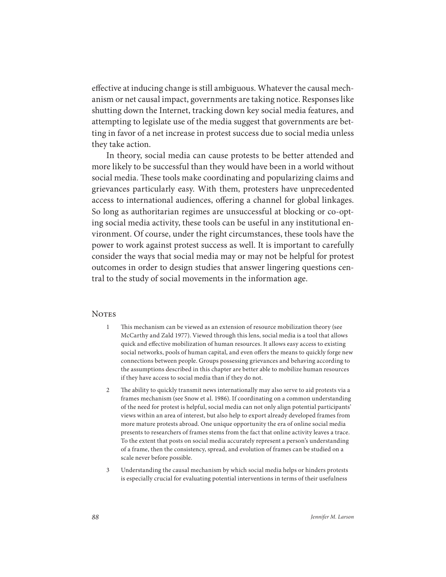effective at inducing change is still ambiguous. Whatever the causal mechanism or net causal impact, governments are taking notice. Responses like shutting down the Internet, tracking down key social media features, and attempting to legislate use of the media suggest that governments are betting in favor of a net increase in protest success due to social media unless they take action.

In theory, social media can cause protests to be better attended and more likely to be successful than they would have been in a world without social media. These tools make coordinating and popularizing claims and grievances particularly easy. With them, protesters have unprecedented access to international audiences, offering a channel for global linkages. So long as authoritarian regimes are unsuccessful at blocking or co-opting social media activity, these tools can be useful in any institutional environment. Of course, under the right circumstances, these tools have the power to work against protest success as well. It is important to carefully consider the ways that social media may or may not be helpful for protest outcomes in order to design studies that answer lingering questions central to the study of social movements in the information age.

#### **NOTES**

- 1 "is mechanism can be viewed as an extension of resource mobilization theory (see McCarthy and Zald 1977). Viewed through this lens, social media is a tool that allows quick and effective mobilization of human resources. It allows easy access to existing social networks, pools of human capital, and even offers the means to quickly forge new connections between people. Groups possessing grievances and behaving according to the assumptions described in this chapter are better able to mobilize human resources if they have access to social media than if they do not.
- 2 The ability to quickly transmit news internationally may also serve to aid protests via a frames mechanism (see Snow et al. 1986). If coordinating on a common understanding of the need for protest is helpful, social media can not only align potential participants' views within an area of interest, but also help to export already developed frames from more mature protests abroad. One unique opportunity the era of online social media presents to researchers of frames stems from the fact that online activity leaves a trace. To the extent that posts on social media accurately represent a person's understanding of a frame, then the consistency, spread, and evolution of frames can be studied on a scale never before possible.
- 3 Understanding the causal mechanism by which social media helps or hinders protests is especially crucial for evaluating potential interventions in terms of their usefulness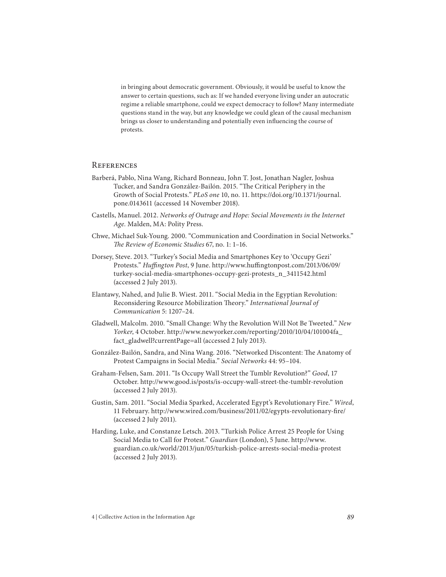in bringing about democratic government. Obviously, it would be useful to know the answer to certain questions, such as: If we handed everyone living under an autocratic regime a reliable smartphone, could we expect democracy to follow? Many intermediate questions stand in the way, but any knowledge we could glean of the causal mechanism brings us closer to understanding and potentially even influencing the course of protests.

#### **REFERENCES**

- Barberá, Pablo, Nina Wang, Richard Bonneau, John T. Jost, Jonathan Nagler, Joshua Tucker, and Sandra González-Bailón. 2015. "The Critical Periphery in the Growth of Social Protests." *PLoS one* 10, no. 11. https://doi.org/10.1371/journal. pone.0143611 (accessed 14 November 2018).
- Castells, Manuel. 2012. *Networks of Outrage and Hope: Social Movements in the Internet Age.* Malden, MA: Polity Press.
- Chwe, Michael Suk-Young. 2000. "Communication and Coordination in Social Networks." The Review of Economic Studies 67, no. 1: 1-16.
- Dorsey, Steve. 2013. "Turkey's Social Media and Smartphones Key to 'Occupy Gezi' Protests." *Huffington Post*, 9 June. http://www.huffingtonpost.com/2013/06/09/ turkey-social-media-smartphones-occupy-gezi-protests\_n\_3411542.html (accessed 2 July 2013).
- Elantawy, Nahed, and Julie B. Wiest. 2011. "Social Media in the Egyptian Revolution: Reconsidering Resource Mobilization Theory." *International Journal of Communication* 5: 1207–24.
- Gladwell, Malcolm. 2010. "Small Change: Why the Revolution Will Not Be Tweeted." *New Yorker*, 4 October. http://www.newyorker.com/reporting/2010/10/04/101004fa\_ fact\_gladwell?currentPage=all (accessed 2 July 2013).
- González-Bailón, Sandra, and Nina Wang. 2016. "Networked Discontent: The Anatomy of Protest Campaigns in Social Media." *Social Networks* 44: 95–104.
- Graham-Felsen, Sam. 2011. "Is Occupy Wall Street the Tumblr Revolution?" *Good*, 17 October. http://www.good.is/posts/is-occupy-wall-street-the-tumblr-revolution (accessed 2 July 2013).
- Gustin, Sam. 2011. "Social Media Sparked, Accelerated Egypt's Revolutionary Fire." *Wired*, 11 February. http://www.wired.com/business/2011/02/egypts-revolutionary-fire/ (accessed 2 July 2011).
- Harding, Luke, and Constanze Letsch. 2013. "Turkish Police Arrest 25 People for Using Social Media to Call for Protest." *Guardian* (London), 5 June. http://www. guardian.co.uk/world/2013/jun/05/turkish-police-arrests-social-media-protest (accessed 2 July 2013).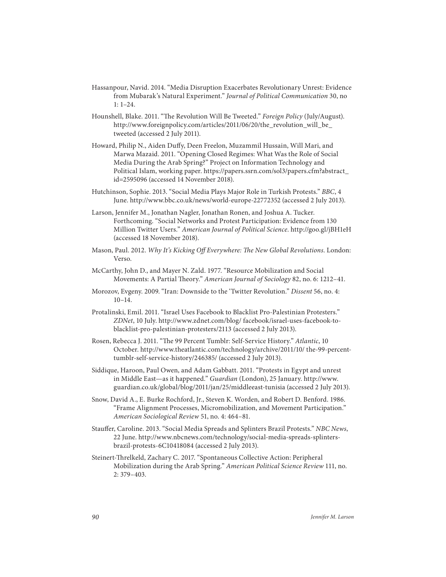- Hassanpour, Navid. 2014. "Media Disruption Exacerbates Revolutionary Unrest: Evidence from Mubarak's Natural Experiment." *Journal of Political Communication* 30, no 1: 1–24.
- Hounshell, Blake. 2011. "The Revolution Will Be Tweeted." *Foreign Policy* (July/August). http://www.foreignpolicy.com/articles/2011/06/20/the\_revolution\_will\_be\_ tweeted (accessed 2 July 2011).
- Howard, Philip N., Aiden Duffy, Deen Freelon, Muzammil Hussain, Will Mari, and Marwa Mazaid. 2011. "Opening Closed Regimes: What Was the Role of Social Media During the Arab Spring?" Project on Information Technology and Political Islam, working paper. https://papers.ssrn.com/sol3/papers.cfm?abstract\_ id=2595096 (accessed 14 November 2018).
- Hutchinson, Sophie. 2013. "Social Media Plays Major Role in Turkish Protests." *BBC*, 4 June. http://www.bbc.co.uk/news/world-europe-22772352 (accessed 2 July 2013).
- Larson, Jennifer M., Jonathan Nagler, Jonathan Ronen, and Joshua A. Tucker. Forthcoming. "Social Networks and Protest Participation: Evidence from 130 Million Twitter Users." *American Journal of Political Science*. http://goo.gl/jBH1eH (accessed 18 November 2018).
- Mason, Paul. 2012. *Why It's Kicking Off Everywhere: The New Global Revolutions*. London: Verso.
- McCarthy, John D., and Mayer N. Zald. 1977. "Resource Mobilization and Social Movements: A Partial Theory." *American Journal of Sociology 82*, no. 6: 1212-41.
- Morozov, Evgeny. 2009. "Iran: Downside to the 'Twitter Revolution." *Dissent* 56, no. 4: 10–14.
- Protalinski, Emil. 2011. "Israel Uses Facebook to Blacklist Pro-Palestinian Protesters." *ZDNet*, 10 July. http://www.zdnet.com/blog/ facebook/israel-uses-facebook-toblacklist-pro-palestinian-protesters/2113 (accessed 2 July 2013).
- Rosen, Rebecca J. 2011. "The 99 Percent Tumblr: Self-Service History." Atlantic, 10 October. http://www.theatlantic.com/technology/archive/2011/10/ the-99-percenttumblr-self-service-history/246385/ (accessed 2 July 2013).
- Siddique, Haroon, Paul Owen, and Adam Gabbatt. 2011. "Protests in Egypt and unrest in Middle East—as it happened." *Guardian* (London), 25 January. http://www. guardian.co.uk/global/blog/2011/jan/25/middleeast-tunisia (accessed 2 July 2013).
- Snow, David A., E. Burke Rochford, Jr., Steven K. Worden, and Robert D. Benford. 1986. "Frame Alignment Processes, Micromobilization, and Movement Participation." *American Sociological Review* 51, no. 4: 464–81.
- Stauffer, Caroline. 2013. "Social Media Spreads and Splinters Brazil Protests." *NBC News*, 22 June. http://www.nbcnews.com/technology/social-media-spreads-splintersbrazil-protests-6C10418084 (accessed 2 July 2013).
- Steinert-Threlkeld, Zachary C. 2017. "Spontaneous Collective Action: Peripheral Mobilization during the Arab Spring." *American Political Science Review* 111, no. 2: 379–403.